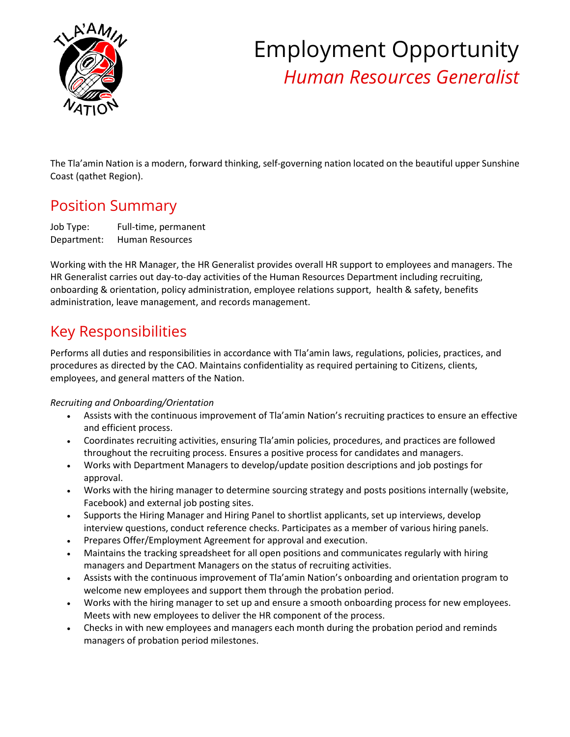

# Employment Opportunity *Human Resources Generalist*

The Tla'amin Nation is a modern, forward thinking, self-governing nation located on the beautiful upper Sunshine Coast (qathet Region).

## Position Summary

Job Type: Full-time, permanent Department: Human Resources

Working with the HR Manager, the HR Generalist provides overall HR support to employees and managers. The HR Generalist carries out day-to-day activities of the Human Resources Department including recruiting, onboarding & orientation, policy administration, employee relations support, health & safety, benefits administration, leave management, and records management.

# Key Responsibilities

Performs all duties and responsibilities in accordance with Tla'amin laws, regulations, policies, practices, and procedures as directed by the CAO. Maintains confidentiality as required pertaining to Citizens, clients, employees, and general matters of the Nation.

#### *Recruiting and Onboarding/Orientation*

- Assists with the continuous improvement of Tla'amin Nation's recruiting practices to ensure an effective and efficient process.
- Coordinates recruiting activities, ensuring Tla'amin policies, procedures, and practices are followed throughout the recruiting process. Ensures a positive process for candidates and managers.
- Works with Department Managers to develop/update position descriptions and job postings for approval.
- Works with the hiring manager to determine sourcing strategy and posts positions internally (website, Facebook) and external job posting sites.
- Supports the Hiring Manager and Hiring Panel to shortlist applicants, set up interviews, develop interview questions, conduct reference checks. Participates as a member of various hiring panels.
- Prepares Offer/Employment Agreement for approval and execution.
- Maintains the tracking spreadsheet for all open positions and communicates regularly with hiring managers and Department Managers on the status of recruiting activities.
- Assists with the continuous improvement of Tla'amin Nation's onboarding and orientation program to welcome new employees and support them through the probation period.
- Works with the hiring manager to set up and ensure a smooth onboarding process for new employees. Meets with new employees to deliver the HR component of the process.
- Checks in with new employees and managers each month during the probation period and reminds managers of probation period milestones.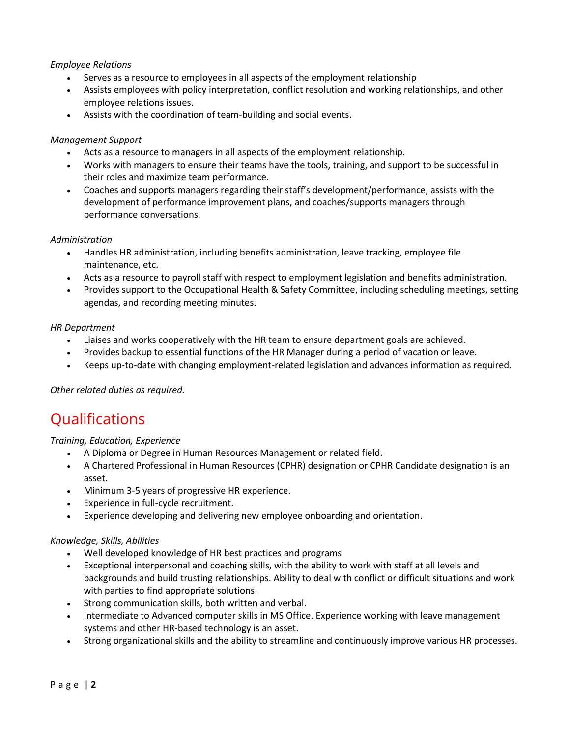#### *Employee Relations*

- Serves as a resource to employees in all aspects of the employment relationship
- Assists employees with policy interpretation, conflict resolution and working relationships, and other employee relations issues.
- Assists with the coordination of team-building and social events.

#### *Management Support*

- Acts as a resource to managers in all aspects of the employment relationship.
- Works with managers to ensure their teams have the tools, training, and support to be successful in their roles and maximize team performance.
- Coaches and supports managers regarding their staff's development/performance, assists with the development of performance improvement plans, and coaches/supports managers through performance conversations.

#### *Administration*

- Handles HR administration, including benefits administration, leave tracking, employee file maintenance, etc.
- Acts as a resource to payroll staff with respect to employment legislation and benefits administration.
- Provides support to the Occupational Health & Safety Committee, including scheduling meetings, setting agendas, and recording meeting minutes.

#### *HR Department*

- Liaises and works cooperatively with the HR team to ensure department goals are achieved.
- Provides backup to essential functions of the HR Manager during a period of vacation or leave.
- Keeps up-to-date with changing employment-related legislation and advances information as required.

*Other related duties as required.*

### **Qualifications**

#### *Training, Education, Experience*

- A Diploma or Degree in Human Resources Management or related field.
- A Chartered Professional in Human Resources (CPHR) designation or CPHR Candidate designation is an asset.
- Minimum 3-5 years of progressive HR experience.
- Experience in full-cycle recruitment.
- Experience developing and delivering new employee onboarding and orientation.

#### *Knowledge, Skills, Abilities*

- Well developed knowledge of HR best practices and programs
- Exceptional interpersonal and coaching skills, with the ability to work with staff at all levels and backgrounds and build trusting relationships. Ability to deal with conflict or difficult situations and work with parties to find appropriate solutions.
- Strong communication skills, both written and verbal.
- Intermediate to Advanced computer skills in MS Office. Experience working with leave management systems and other HR-based technology is an asset.
- Strong organizational skills and the ability to streamline and continuously improve various HR processes.